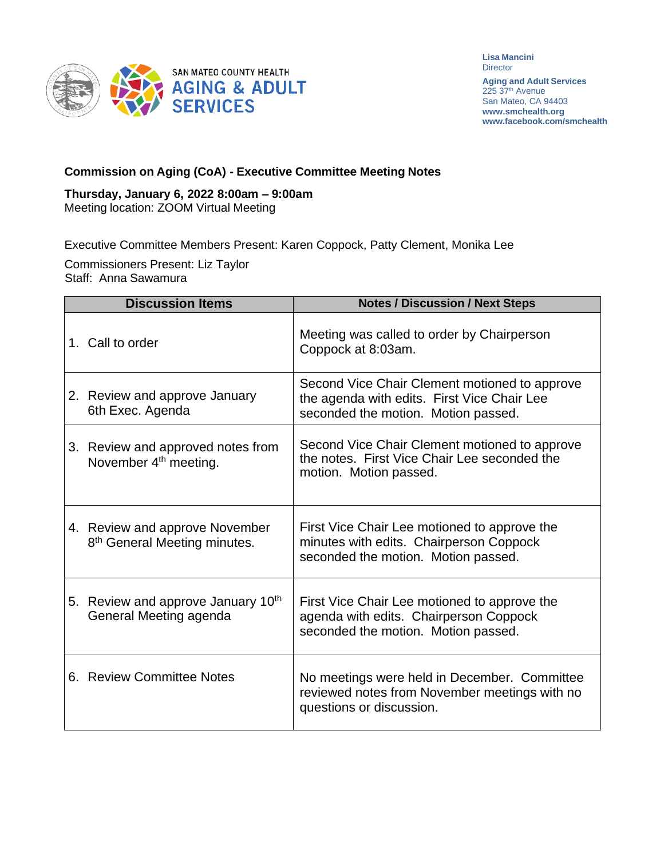

**Lisa Mancini Director** 

**Aging and Adult Services** 225 37<sup>th</sup> Avenue San Mateo, CA 94403 **[www.smchealth.org](http://www.smchealth.org/) [www.facebook.com/smchealth](http://www.facebook.com/smchealth)**

## **Commission on Aging (CoA) - Executive Committee Meeting Notes**

## **Thursday, January 6, 2022 8:00am – 9:00am**

Meeting location: ZOOM Virtual Meeting

Executive Committee Members Present: Karen Coppock, Patty Clement, Monika Lee

Commissioners Present: Liz Taylor Staff: Anna Sawamura

| <b>Discussion Items</b> |                                                                            | <b>Notes / Discussion / Next Steps</b>                                                                                              |
|-------------------------|----------------------------------------------------------------------------|-------------------------------------------------------------------------------------------------------------------------------------|
|                         | 1. Call to order                                                           | Meeting was called to order by Chairperson<br>Coppock at 8:03am.                                                                    |
|                         | 2. Review and approve January<br>6th Exec. Agenda                          | Second Vice Chair Clement motioned to approve<br>the agenda with edits. First Vice Chair Lee<br>seconded the motion. Motion passed. |
|                         | 3. Review and approved notes from<br>November 4 <sup>th</sup> meeting.     | Second Vice Chair Clement motioned to approve<br>the notes. First Vice Chair Lee seconded the<br>motion. Motion passed.             |
|                         | 4. Review and approve November<br>8 <sup>th</sup> General Meeting minutes. | First Vice Chair Lee motioned to approve the<br>minutes with edits. Chairperson Coppock<br>seconded the motion. Motion passed.      |
|                         | 5. Review and approve January 10th<br>General Meeting agenda               | First Vice Chair Lee motioned to approve the<br>agenda with edits. Chairperson Coppock<br>seconded the motion. Motion passed.       |
|                         | 6. Review Committee Notes                                                  | No meetings were held in December. Committee<br>reviewed notes from November meetings with no<br>questions or discussion.           |